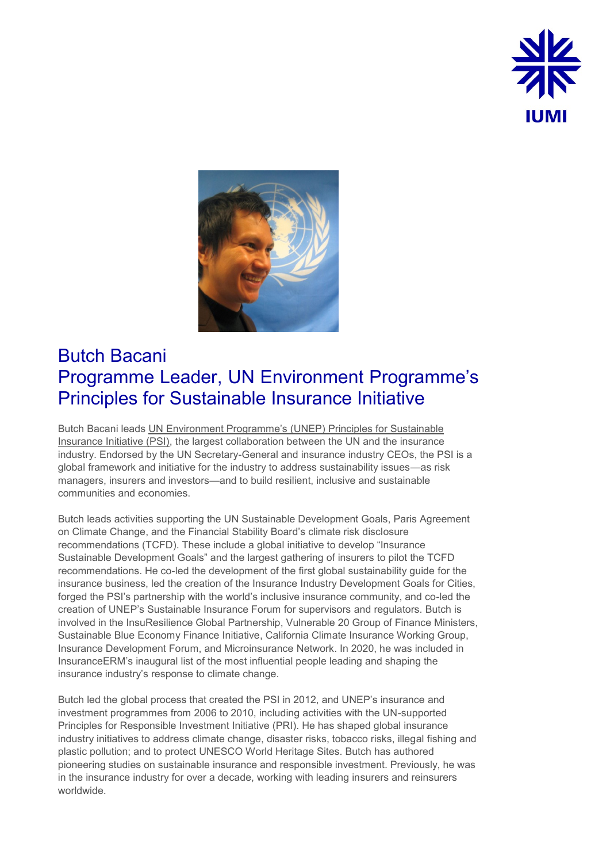



## Butch Bacani Programme Leader, UN Environment Programme's Principles for Sustainable Insurance Initiative

Butch Bacani leads [UN Environment Programme's \(UNEP\) Principles for Sustainable](https://www.unepfi.org/psi/)  [Insurance Initiative \(PSI\),](https://www.unepfi.org/psi/) the largest collaboration between the UN and the insurance industry. Endorsed by the UN Secretary-General and insurance industry CEOs, the PSI is a global framework and initiative for the industry to address sustainability issues—as risk managers, insurers and investors—and to build resilient, inclusive and sustainable communities and economies.

Butch leads activities supporting the UN Sustainable Development Goals, Paris Agreement on Climate Change, and the Financial Stability Board's climate risk disclosure recommendations (TCFD). These include a global initiative to develop "Insurance Sustainable Development Goals" and the largest gathering of insurers to pilot the TCFD recommendations. He co-led the development of the first global sustainability guide for the insurance business, led the creation of the Insurance Industry Development Goals for Cities, forged the PSI's partnership with the world's inclusive insurance community, and co-led the creation of UNEP's Sustainable Insurance Forum for supervisors and regulators. Butch is involved in the InsuResilience Global Partnership, Vulnerable 20 Group of Finance Ministers, Sustainable Blue Economy Finance Initiative, California Climate Insurance Working Group, Insurance Development Forum, and Microinsurance Network. In 2020, he was included in InsuranceERM's inaugural list of the most influential people leading and shaping the insurance industry's response to climate change.

Butch led the global process that created the PSI in 2012, and UNEP's insurance and investment programmes from 2006 to 2010, including activities with the UN-supported Principles for Responsible Investment Initiative (PRI). He has shaped global insurance industry initiatives to address climate change, disaster risks, tobacco risks, illegal fishing and plastic pollution; and to protect UNESCO World Heritage Sites. Butch has authored pioneering studies on sustainable insurance and responsible investment. Previously, he was in the insurance industry for over a decade, working with leading insurers and reinsurers worldwide.